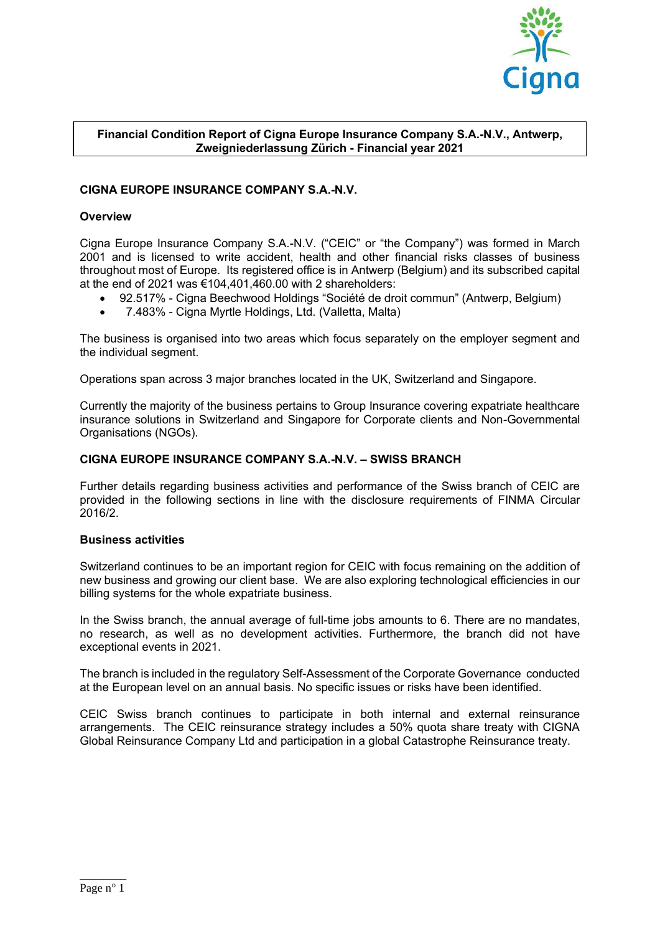

# **Financial Condition Report of Cigna Europe Insurance Company S.A.-N.V., Antwerp, Zweigniederlassung Zürich - Financial year 2021**

# **CIGNA EUROPE INSURANCE COMPANY S.A.-N.V.**

# **Overview**

Cigna Europe Insurance Company S.A.-N.V. ("CEIC" or "the Company") was formed in March 2001 and is licensed to write accident, health and other financial risks classes of business throughout most of Europe. Its registered office is in Antwerp (Belgium) and its subscribed capital at the end of 2021 was €104,401,460.00 with 2 shareholders:

- 92.517% Cigna Beechwood Holdings "Société de droit commun" (Antwerp, Belgium)
- 7.483% Cigna Myrtle Holdings, Ltd. (Valletta, Malta)

The business is organised into two areas which focus separately on the employer segment and the individual segment.

Operations span across 3 major branches located in the UK, Switzerland and Singapore.

Currently the majority of the business pertains to Group Insurance covering expatriate healthcare insurance solutions in Switzerland and Singapore for Corporate clients and Non-Governmental Organisations (NGOs).

## **CIGNA EUROPE INSURANCE COMPANY S.A.-N.V. – SWISS BRANCH**

Further details regarding business activities and performance of the Swiss branch of CEIC are provided in the following sections in line with the disclosure requirements of FINMA Circular 2016/2.

## **Business activities**

Switzerland continues to be an important region for CEIC with focus remaining on the addition of new business and growing our client base. We are also exploring technological efficiencies in our billing systems for the whole expatriate business.

In the Swiss branch, the annual average of full-time jobs amounts to 6. There are no mandates, no research, as well as no development activities. Furthermore, the branch did not have exceptional events in 2021.

The branch is included in the regulatory Self-Assessment of the Corporate Governance conducted at the European level on an annual basis. No specific issues or risks have been identified.

CEIC Swiss branch continues to participate in both internal and external reinsurance arrangements. The CEIC reinsurance strategy includes a 50% quota share treaty with CIGNA Global Reinsurance Company Ltd and participation in a global Catastrophe Reinsurance treaty.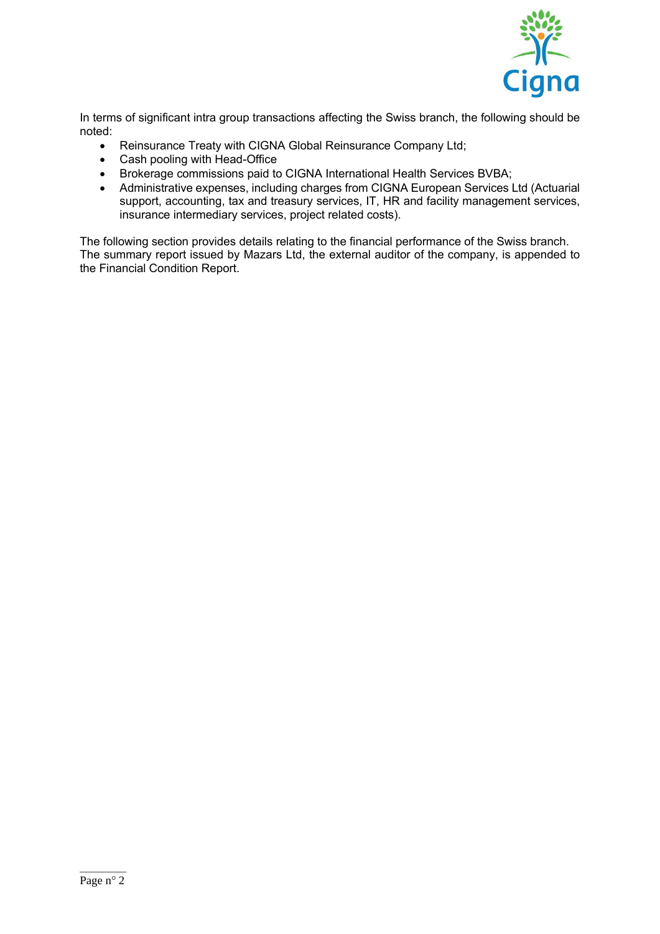

In terms of significant intra group transactions affecting the Swiss branch, the following should be noted:

- Reinsurance Treaty with CIGNA Global Reinsurance Company Ltd;
- Cash pooling with Head-Office
- Brokerage commissions paid to CIGNA International Health Services BVBA;
- Administrative expenses, including charges from CIGNA European Services Ltd (Actuarial support, accounting, tax and treasury services, IT, HR and facility management services, insurance intermediary services, project related costs).

The following section provides details relating to the financial performance of the Swiss branch. The summary report issued by Mazars Ltd, the external auditor of the company, is appended to the Financial Condition Report.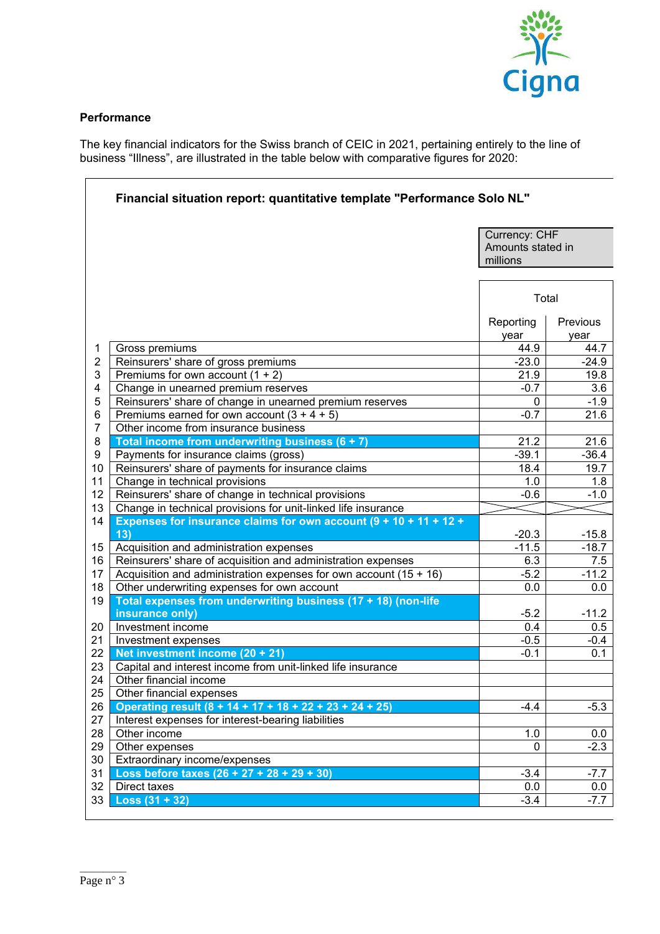

# **Performance**

The key financial indicators for the Swiss branch of CEIC in 2021, pertaining entirely to the line of business "Illness", are illustrated in the table below with comparative figures for 2020:

|                |                                                                                  | Currency: CHF                 |                  |
|----------------|----------------------------------------------------------------------------------|-------------------------------|------------------|
|                |                                                                                  | Amounts stated in<br>millions |                  |
|                |                                                                                  |                               |                  |
|                |                                                                                  | Total                         |                  |
|                |                                                                                  | Reporting<br>year             | Previous<br>year |
| 1              | Gross premiums                                                                   | 44.9                          | 44.7             |
| $\overline{2}$ | Reinsurers' share of gross premiums                                              | $-23.0$                       | $-24.9$          |
| 3              | Premiums for own account $(1 + 2)$                                               | 21.9                          | 19.8             |
| 4              | Change in unearned premium reserves                                              | $-0.7$                        | 3.6              |
| 5              | Reinsurers' share of change in unearned premium reserves                         | 0                             | $-1.9$           |
| 6              | Premiums earned for own account $(3 + 4 + 5)$                                    | $-0.7$                        | 21.6             |
| $\overline{7}$ | Other income from insurance business                                             |                               |                  |
| 8              | Total income from underwriting business $(6 + 7)$                                | 21.2                          | 21.6             |
| 9              | Payments for insurance claims (gross)                                            | $-39.1$                       | $-36.4$          |
| 10             | Reinsurers' share of payments for insurance claims                               | 18.4                          | 19.7             |
| 11             | Change in technical provisions                                                   | 1.0                           | 1.8              |
| 12             | Reinsurers' share of change in technical provisions                              | $-0.6$                        | $-1.0$           |
| 13             | Change in technical provisions for unit-linked life insurance                    |                               |                  |
| 14<br>13)      | Expenses for insurance claims for own account $(9 + 10 + 11 + 12 +$              | $-20.3$                       | $-15.8$          |
| 15             | Acquisition and administration expenses                                          | $-11.5$                       | $-18.7$          |
| 16             | Reinsurers' share of acquisition and administration expenses                     | 6.3                           | 7.5              |
| 17             | Acquisition and administration expenses for own account (15 + 16)                | $-5.2$                        | $-11.2$          |
| 18             | Other underwriting expenses for own account                                      | 0.0                           | 0.0              |
| 19             | Total expenses from underwriting business (17 + 18) (non-life<br>insurance only) | $-5.2$                        | $-11.2$          |
| 20             | Investment income                                                                | 0.4                           | 0.5              |
| 21             | Investment expenses                                                              | $-0.5$                        | $-0.4$           |
| 22             | Net investment income (20 + 21)                                                  | $-0.1$                        | 0.1              |
| 23             | Capital and interest income from unit-linked life insurance                      |                               |                  |
| 24             | Other financial income                                                           |                               |                  |
| 25             | Other financial expenses                                                         |                               |                  |
| 26             | Operating result (8 + 14 + 17 + 18 + 22 + 23 + 24 + 25)                          | $-4.4$                        | $-5.3$           |
| 27             | Interest expenses for interest-bearing liabilities                               |                               |                  |
| 28             | Other income                                                                     | 1.0                           | 0.0              |
| 29             | Other expenses                                                                   | $\mathbf{0}$                  | $-2.3$           |
| 30             | Extraordinary income/expenses                                                    |                               |                  |
| 31             | Loss before taxes $(26 + 27 + 28 + 29 + 30)$                                     | $-3.4$                        | $-7.7$           |
| 32             | Direct taxes                                                                     | 0.0                           | 0.0              |
| 33             | $Loss (31 + 32)$                                                                 | $-3.4$                        | $-7.7$           |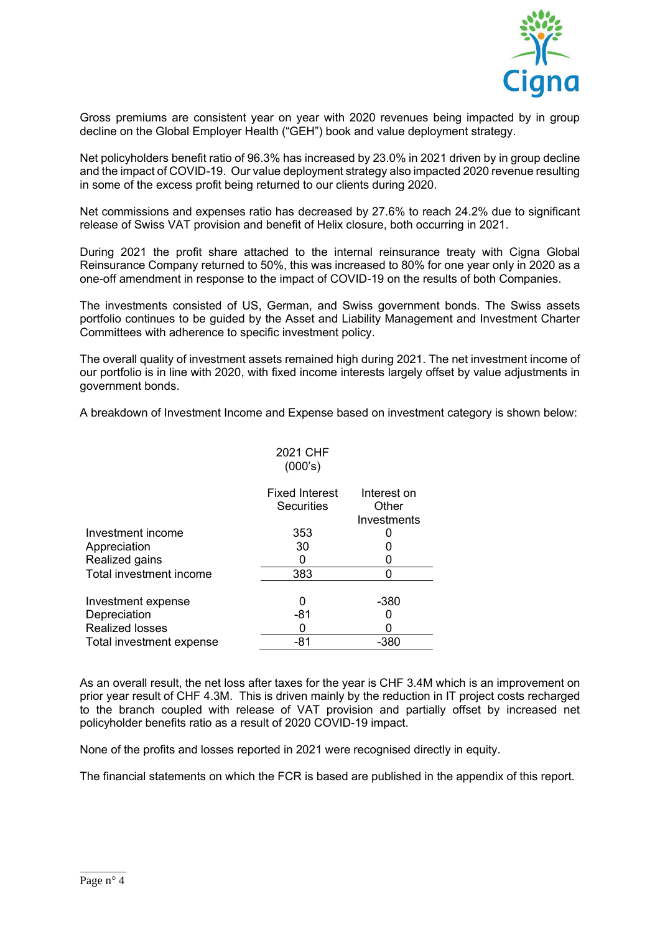

Gross premiums are consistent year on year with 2020 revenues being impacted by in group decline on the Global Employer Health ("GEH") book and value deployment strategy.

Net policyholders benefit ratio of 96.3% has increased by 23.0% in 2021 driven by in group decline and the impact of COVID-19. Our value deployment strategy also impacted 2020 revenue resulting in some of the excess profit being returned to our clients during 2020.

Net commissions and expenses ratio has decreased by 27.6% to reach 24.2% due to significant release of Swiss VAT provision and benefit of Helix closure, both occurring in 2021.

During 2021 the profit share attached to the internal reinsurance treaty with Cigna Global Reinsurance Company returned to 50%, this was increased to 80% for one year only in 2020 as a one-off amendment in response to the impact of COVID-19 on the results of both Companies.

The investments consisted of US, German, and Swiss government bonds. The Swiss assets portfolio continues to be guided by the Asset and Liability Management and Investment Charter Committees with adherence to specific investment policy.

The overall quality of investment assets remained high during 2021. The net investment income of our portfolio is in line with 2020, with fixed income interests largely offset by value adjustments in government bonds.

A breakdown of Investment Income and Expense based on investment category is shown below:

|                          | 2021 CHF<br>(000's)                 |                                     |
|--------------------------|-------------------------------------|-------------------------------------|
|                          | <b>Fixed Interest</b><br>Securities | Interest on<br>Other<br>Investments |
| Investment income        | 353                                 |                                     |
| Appreciation             | 30                                  |                                     |
| Realized gains           |                                     |                                     |
| Total investment income  | 383                                 |                                     |
| Investment expense       | 0                                   | $-380$                              |
| Depreciation             | $-81$                               |                                     |
| <b>Realized losses</b>   |                                     |                                     |
| Total investment expense | -81                                 | -380                                |

As an overall result, the net loss after taxes for the year is CHF 3.4M which is an improvement on prior year result of CHF 4.3M. This is driven mainly by the reduction in IT project costs recharged to the branch coupled with release of VAT provision and partially offset by increased net policyholder benefits ratio as a result of 2020 COVID-19 impact.

None of the profits and losses reported in 2021 were recognised directly in equity.

The financial statements on which the FCR is based are published in the appendix of this report.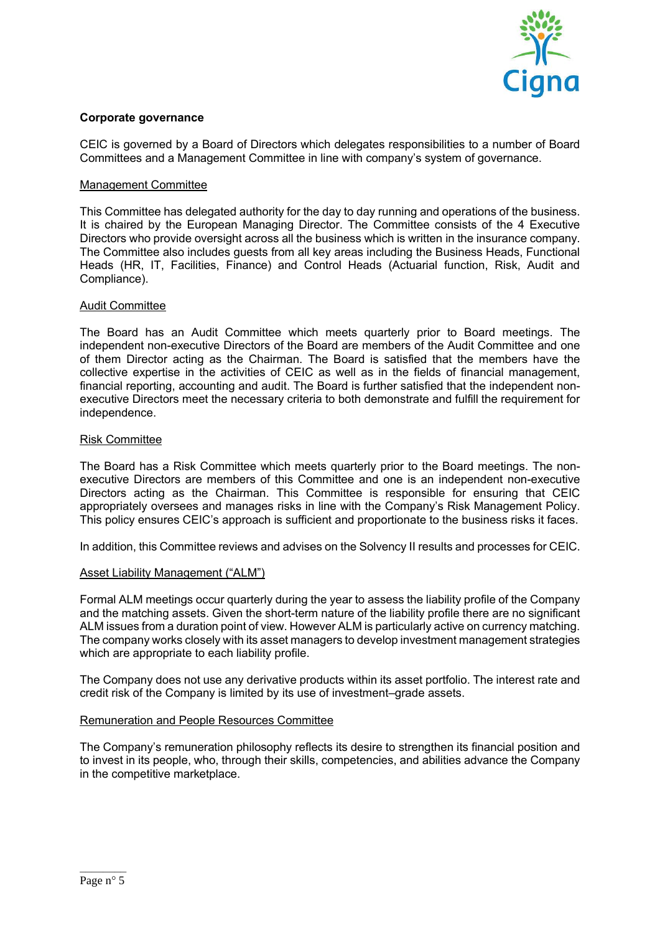

# **Corporate governance**

CEIC is governed by a Board of Directors which delegates responsibilities to a number of Board Committees and a Management Committee in line with company's system of governance.

## Management Committee

This Committee has delegated authority for the day to day running and operations of the business. It is chaired by the European Managing Director. The Committee consists of the 4 Executive Directors who provide oversight across all the business which is written in the insurance company. The Committee also includes guests from all key areas including the Business Heads, Functional Heads (HR, IT, Facilities, Finance) and Control Heads (Actuarial function, Risk, Audit and Compliance).

## Audit Committee

The Board has an Audit Committee which meets quarterly prior to Board meetings. The independent non-executive Directors of the Board are members of the Audit Committee and one of them Director acting as the Chairman. The Board is satisfied that the members have the collective expertise in the activities of CEIC as well as in the fields of financial management, financial reporting, accounting and audit. The Board is further satisfied that the independent nonexecutive Directors meet the necessary criteria to both demonstrate and fulfill the requirement for independence.

## Risk Committee

The Board has a Risk Committee which meets quarterly prior to the Board meetings. The nonexecutive Directors are members of this Committee and one is an independent non-executive Directors acting as the Chairman. This Committee is responsible for ensuring that CEIC appropriately oversees and manages risks in line with the Company's Risk Management Policy. This policy ensures CEIC's approach is sufficient and proportionate to the business risks it faces.

In addition, this Committee reviews and advises on the Solvency II results and processes for CEIC.

# Asset Liability Management ("ALM")

Formal ALM meetings occur quarterly during the year to assess the liability profile of the Company and the matching assets. Given the short-term nature of the liability profile there are no significant ALM issues from a duration point of view. However ALM is particularly active on currency matching. The company works closely with its asset managers to develop investment management strategies which are appropriate to each liability profile.

The Company does not use any derivative products within its asset portfolio. The interest rate and credit risk of the Company is limited by its use of investment–grade assets.

## Remuneration and People Resources Committee

The Company's remuneration philosophy reflects its desire to strengthen its financial position and to invest in its people, who, through their skills, competencies, and abilities advance the Company in the competitive marketplace.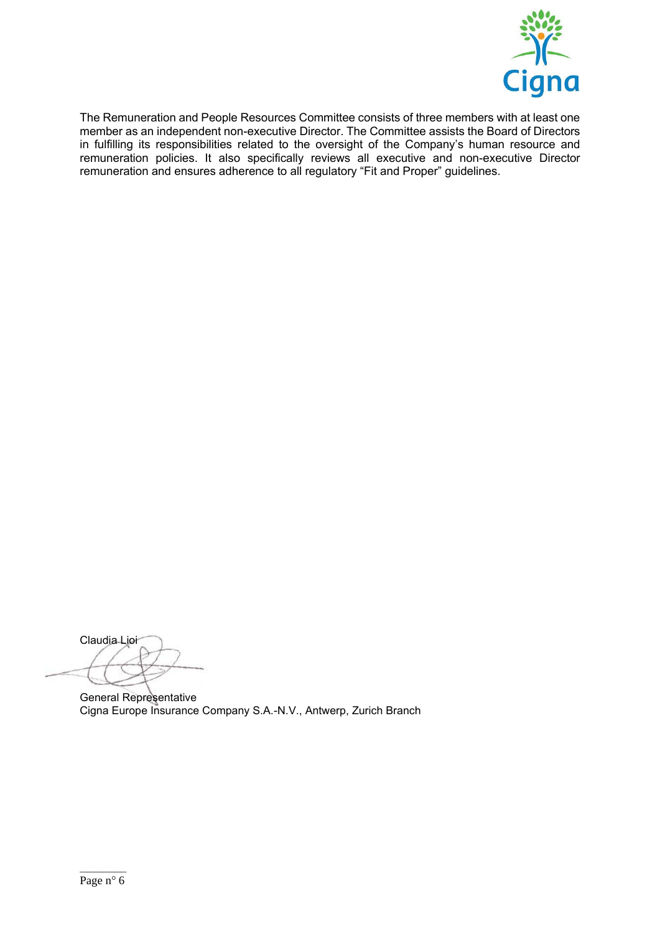

The Remuneration and People Resources Committee consists of three members with at least one member as an independent non-executive Director. The Committee assists the Board of Directors in fulfilling its responsibilities related to the oversight of the Company's human resource and remuneration policies. It also specifically reviews all executive and non-executive Director remuneration and ensures adherence to all regulatory "Fit and Proper" guidelines.

Claudia Lioi

General Representative Cigna Europe Insurance Company S.A.-N.V., Antwerp, Zurich Branch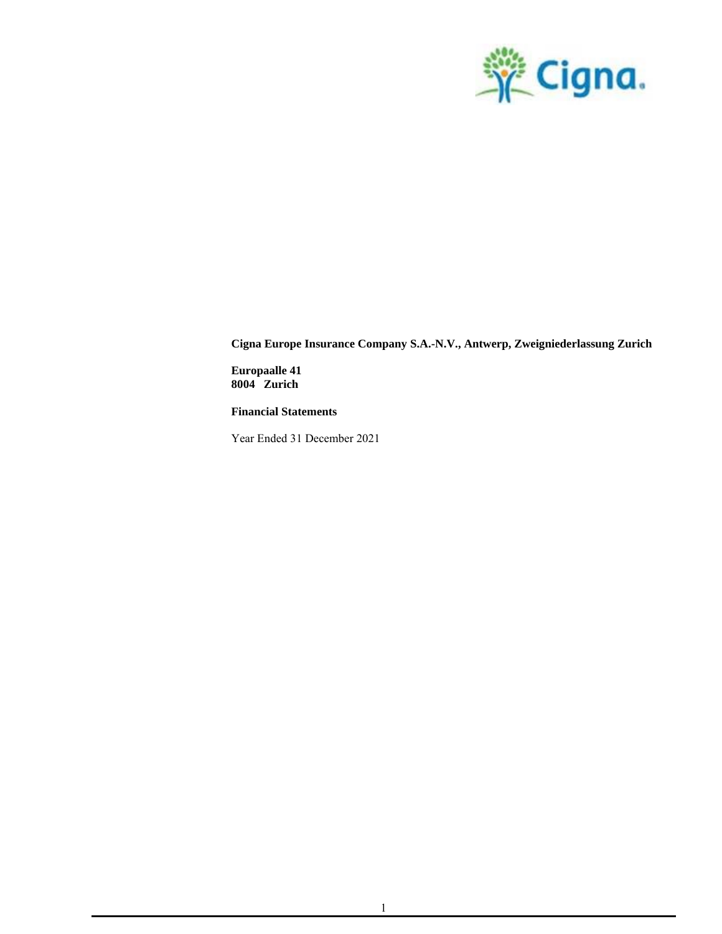

**Europaalle 41 8004 Zurich**

**Financial Statements**

Year Ended 31 December 2021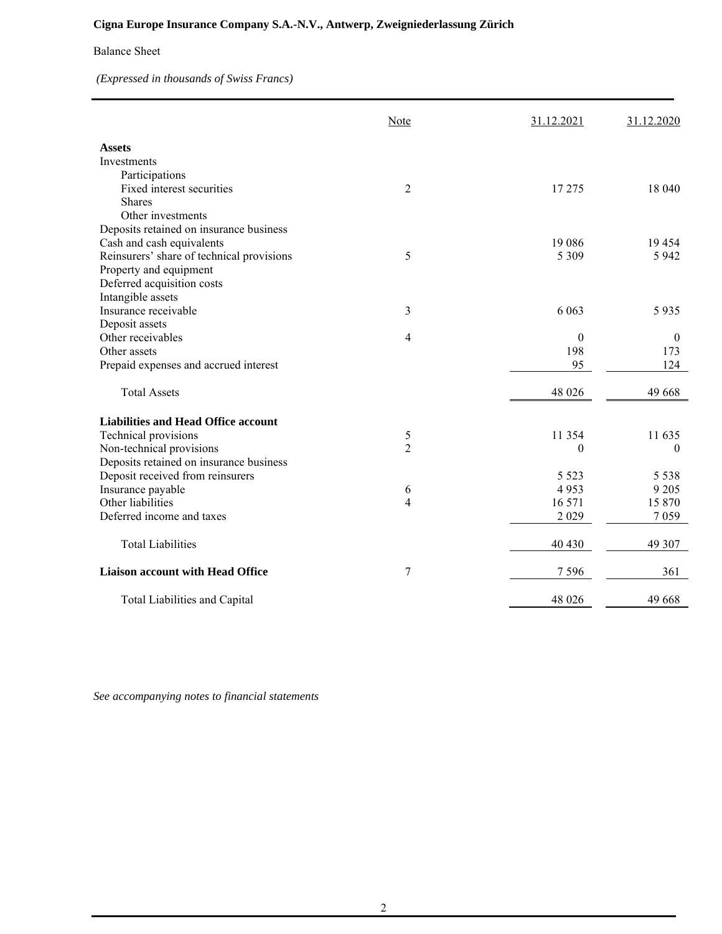## Balance Sheet

*(Expressed in thousands of Swiss Francs)*

|                                            | Note           | 31.12.2021       | 31.12.2020     |
|--------------------------------------------|----------------|------------------|----------------|
| <b>Assets</b>                              |                |                  |                |
| Investments                                |                |                  |                |
| Participations                             |                |                  |                |
| Fixed interest securities                  | $\overline{2}$ | 17 275           | 18 040         |
| <b>Shares</b>                              |                |                  |                |
| Other investments                          |                |                  |                |
| Deposits retained on insurance business    |                |                  |                |
| Cash and cash equivalents                  |                | 19 0 8 6         | 19454          |
| Reinsurers' share of technical provisions  | 5              | 5 3 0 9          | 5 9 4 2        |
| Property and equipment                     |                |                  |                |
| Deferred acquisition costs                 |                |                  |                |
| Intangible assets                          |                |                  |                |
| Insurance receivable                       | 3              | 6 0 63           | 5935           |
| Deposit assets                             |                |                  |                |
| Other receivables                          | 4              | $\boldsymbol{0}$ | $\overline{0}$ |
| Other assets                               |                | 198              | 173            |
| Prepaid expenses and accrued interest      |                | 95               | 124            |
|                                            |                |                  |                |
| <b>Total Assets</b>                        |                | 48 026           | 49 668         |
| <b>Liabilities and Head Office account</b> |                |                  |                |
| Technical provisions                       | 5              | 11 354           | 11 635         |
| Non-technical provisions                   | $\overline{2}$ | $\theta$         | $\theta$       |
| Deposits retained on insurance business    |                |                  |                |
| Deposit received from reinsurers           |                | 5 5 2 3          | 5 5 3 8        |
| Insurance payable                          | 6              | 4953             | 9 2 0 5        |
| Other liabilities                          | 4              | 16 571           | 15 870         |
| Deferred income and taxes                  |                | 2029             | 7059           |
|                                            |                |                  |                |
| <b>Total Liabilities</b>                   |                | 40 430           | 49 307         |
| <b>Liaison account with Head Office</b>    | 7              | 7596             | 361            |
| Total Liabilities and Capital              |                | 48 026           | 49 668         |

*See accompanying notes to financial statements*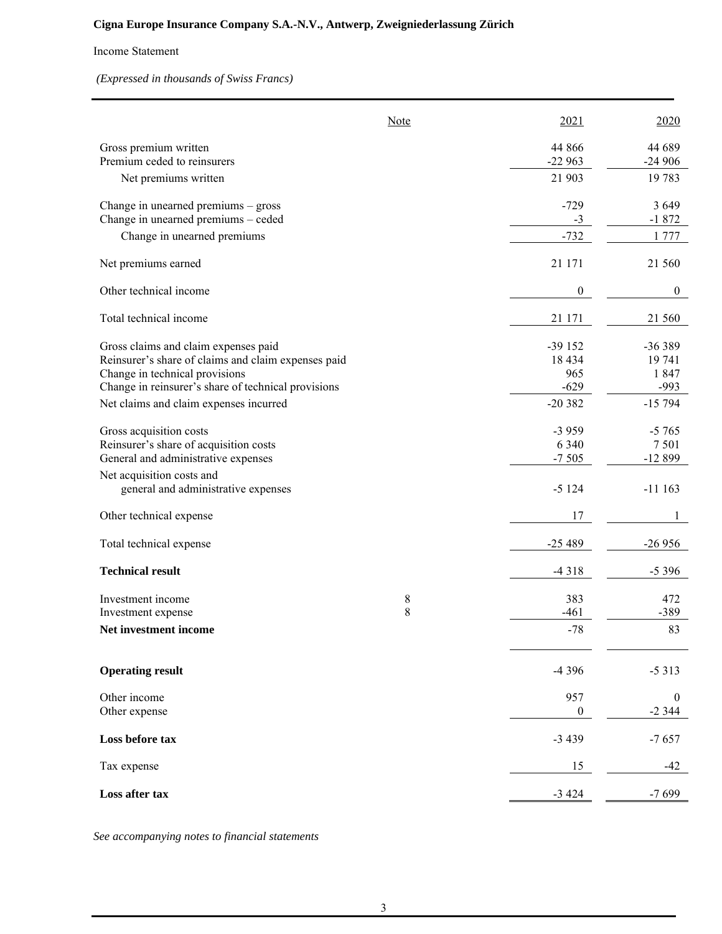## Income Statement

*(Expressed in thousands of Swiss Francs)*

|                                                     | Note |          | 2021             | 2020             |
|-----------------------------------------------------|------|----------|------------------|------------------|
| Gross premium written                               |      | 44 866   |                  | 44 689           |
| Premium ceded to reinsurers                         |      | $-22963$ |                  | $-24906$         |
| Net premiums written                                |      | 21 903   |                  | 19 783           |
| Change in unearned premiums - gross                 |      |          | $-729$           | 3 6 4 9          |
| Change in unearned premiums - ceded                 |      |          | $-3$             | $-1872$          |
| Change in unearned premiums                         |      |          | $-732$           | 1777             |
| Net premiums earned                                 |      | 21 171   |                  | 21 560           |
| Other technical income                              |      |          | $\boldsymbol{0}$ | $\boldsymbol{0}$ |
| Total technical income                              |      | 21 171   |                  | 21 560           |
| Gross claims and claim expenses paid                |      | $-39152$ |                  | $-36389$         |
| Reinsurer's share of claims and claim expenses paid |      | 18 4 34  |                  | 19 741           |
| Change in technical provisions                      |      |          | 965              | 1847             |
| Change in reinsurer's share of technical provisions |      |          | $-629$           | $-993$           |
| Net claims and claim expenses incurred              |      | $-20382$ |                  | $-15794$         |
| Gross acquisition costs                             |      |          | $-3959$          | $-5765$          |
| Reinsurer's share of acquisition costs              |      |          | 6 3 4 0          | 7501             |
| General and administrative expenses                 |      |          | $-7505$          | $-12899$         |
| Net acquisition costs and                           |      |          |                  |                  |
| general and administrative expenses                 |      |          | $-5124$          | $-11163$         |
| Other technical expense                             |      |          | 17               | 1                |
| Total technical expense                             |      | $-25489$ |                  | $-26956$         |
| <b>Technical result</b>                             |      |          | $-4318$          | $-5396$          |
| Investment income                                   | 8    |          | 383              | 472              |
| Investment expense                                  | 8    |          | $-461$           | $-389$           |
| Net investment income                               |      |          | $-78$            | 83               |
| <b>Operating result</b>                             |      |          | -4 3 9 6         | $-5313$          |
| Other income                                        |      |          | 957              | $\boldsymbol{0}$ |
| Other expense                                       |      |          | $\boldsymbol{0}$ | $-2344$          |
| Loss before tax                                     |      |          | $-3439$          | $-7657$          |
| Tax expense                                         |      |          | 15               | $-42$            |
| Loss after tax                                      |      |          | $-3424$          | $-7699$          |

*See accompanying notes to financial statements*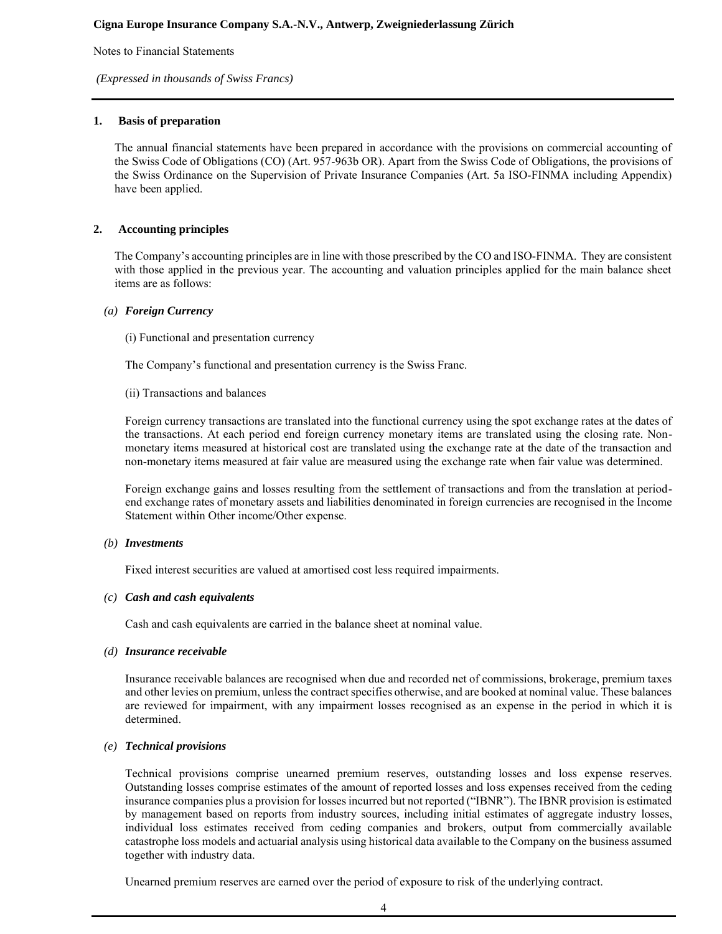Notes to Financial Statements

*(Expressed in thousands of Swiss Francs)*

## **1. Basis of preparation**

The annual financial statements have been prepared in accordance with the provisions on commercial accounting of the Swiss Code of Obligations (CO) (Art. 957-963b OR). Apart from the Swiss Code of Obligations, the provisions of the Swiss Ordinance on the Supervision of Private Insurance Companies (Art. 5a ISO-FINMA including Appendix) have been applied.

## **2. Accounting principles**

The Company's accounting principles are in line with those prescribed by the CO and ISO-FINMA. They are consistent with those applied in the previous year. The accounting and valuation principles applied for the main balance sheet items are as follows:

#### *(a) Foreign Currency*

(i) Functional and presentation currency

The Company's functional and presentation currency is the Swiss Franc.

(ii) Transactions and balances

Foreign currency transactions are translated into the functional currency using the spot exchange rates at the dates of the transactions. At each period end foreign currency monetary items are translated using the closing rate. Nonmonetary items measured at historical cost are translated using the exchange rate at the date of the transaction and non-monetary items measured at fair value are measured using the exchange rate when fair value was determined.

Foreign exchange gains and losses resulting from the settlement of transactions and from the translation at periodend exchange rates of monetary assets and liabilities denominated in foreign currencies are recognised in the Income Statement within Other income/Other expense.

#### *(b) Investments*

Fixed interest securities are valued at amortised cost less required impairments.

#### *(c) Cash and cash equivalents*

Cash and cash equivalents are carried in the balance sheet at nominal value.

#### *(d) Insurance receivable*

Insurance receivable balances are recognised when due and recorded net of commissions, brokerage, premium taxes and other levies on premium, unless the contract specifies otherwise, and are booked at nominal value. These balances are reviewed for impairment, with any impairment losses recognised as an expense in the period in which it is determined.

## *(e) Technical provisions*

Technical provisions comprise unearned premium reserves, outstanding losses and loss expense reserves. Outstanding losses comprise estimates of the amount of reported losses and loss expenses received from the ceding insurance companies plus a provision for losses incurred but not reported ("IBNR"). The IBNR provision is estimated by management based on reports from industry sources, including initial estimates of aggregate industry losses, individual loss estimates received from ceding companies and brokers, output from commercially available catastrophe loss models and actuarial analysis using historical data available to the Company on the business assumed together with industry data.

Unearned premium reserves are earned over the period of exposure to risk of the underlying contract.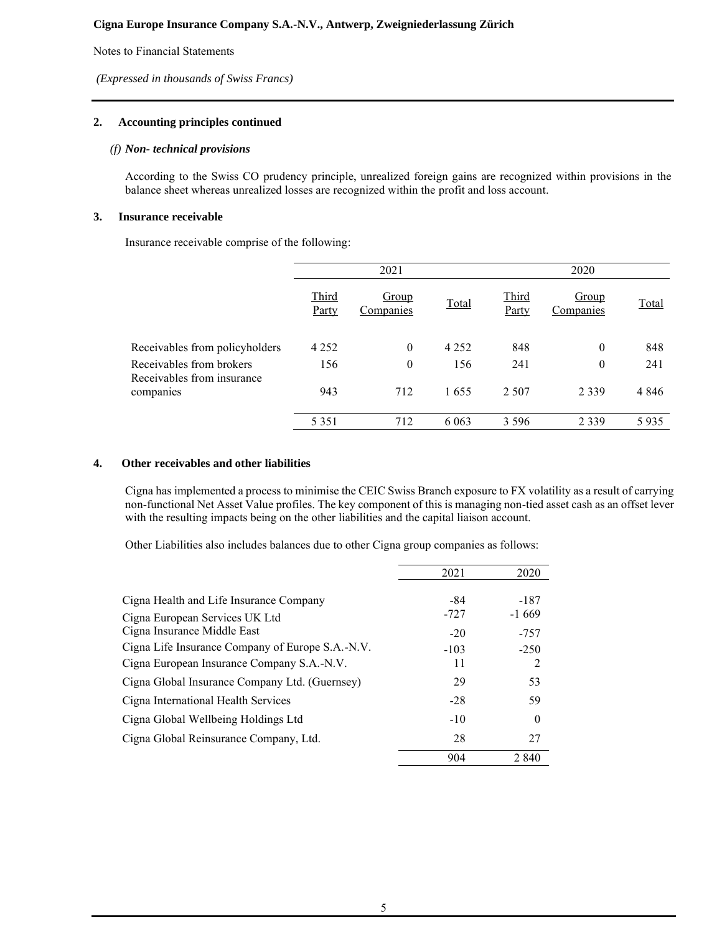Notes to Financial Statements

*(Expressed in thousands of Swiss Francs)*

## **2. Accounting principles continued**

### *(f) Non- technical provisions*

According to the Swiss CO prudency principle, unrealized foreign gains are recognized within provisions in the balance sheet whereas unrealized losses are recognized within the profit and loss account.

### **3. Insurance receivable**

Insurance receivable comprise of the following:

|                                                        | 2021           |                           |         |                | 2020               |         |  |
|--------------------------------------------------------|----------------|---------------------------|---------|----------------|--------------------|---------|--|
|                                                        | Third<br>Party | <b>Group</b><br>Companies | Total   | Third<br>Party | Group<br>Companies | Total   |  |
| Receivables from policyholders                         | 4 2 5 2        | 0                         | 4 2 5 2 | 848            | $\boldsymbol{0}$   | 848     |  |
| Receivables from brokers<br>Receivables from insurance | 156            | $\boldsymbol{0}$          | 156     | 241            | 0                  | 241     |  |
| companies                                              | 943            | 712                       | 1655    | 2 5 0 7        | 2 3 3 9            | 4 8 4 6 |  |
|                                                        | 5 3 5 1        | 712                       | 6 0 6 3 | 3 5 9 6        | 2 3 3 9            | 5935    |  |

#### **4. Other receivables and other liabilities**

Cigna has implemented a process to minimise the CEIC Swiss Branch exposure to FX volatility as a result of carrying non-functional Net Asset Value profiles. The key component of this is managing non-tied asset cash as an offset lever with the resulting impacts being on the other liabilities and the capital liaison account.

Other Liabilities also includes balances due to other Cigna group companies as follows:

|                                                  | 2021   | 2020     |
|--------------------------------------------------|--------|----------|
| Cigna Health and Life Insurance Company          | -84    | $-187$   |
| Cigna European Services UK Ltd                   | $-727$ | $-1669$  |
| Cigna Insurance Middle East                      | $-20$  | $-757$   |
| Cigna Life Insurance Company of Europe S.A.-N.V. | $-103$ | $-250$   |
| Cigna European Insurance Company S.A.-N.V.       | 11     | 2        |
| Cigna Global Insurance Company Ltd. (Guernsey)   | 29     | 53       |
| Cigna International Health Services              | $-28$  | 59       |
| Cigna Global Wellbeing Holdings Ltd              | $-10$  | $\theta$ |
| Cigna Global Reinsurance Company, Ltd.           | 28     | 27       |
|                                                  | 904    | 2 8 4 0  |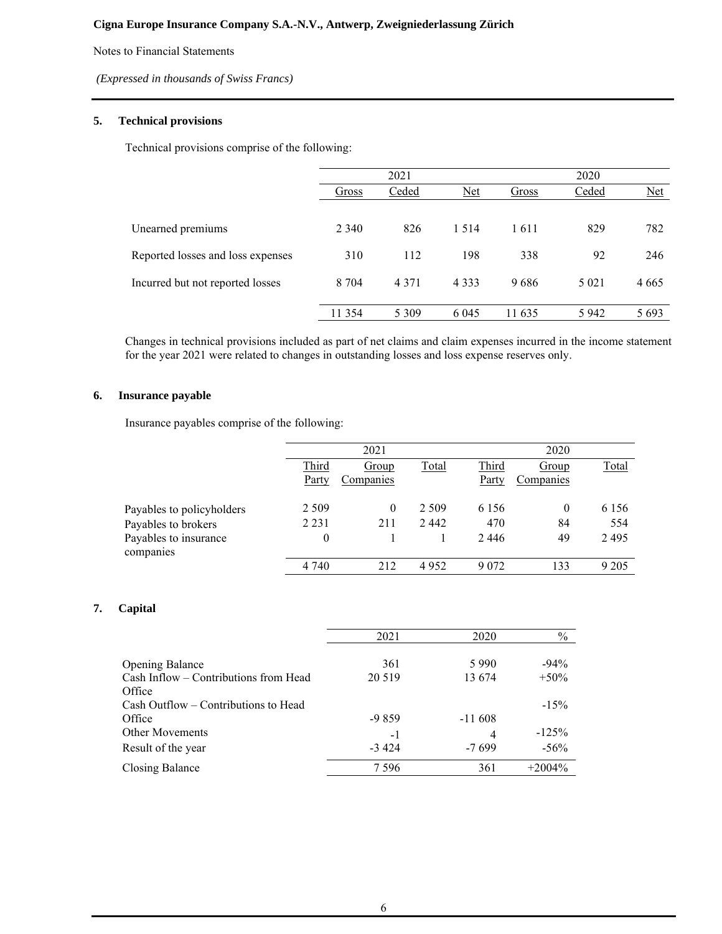Notes to Financial Statements

*(Expressed in thousands of Swiss Francs)*

## **5. Technical provisions**

Technical provisions comprise of the following:

|                                   |         | 2021    |         |        | 2020    |         |
|-----------------------------------|---------|---------|---------|--------|---------|---------|
|                                   | Gross   | Ceded   | $Net$   | Gross  | Ceded   | $Net$   |
|                                   |         |         |         |        |         |         |
| Unearned premiums                 | 2 3 4 0 | 826     | 1 5 1 4 | 1611   | 829     | 782     |
| Reported losses and loss expenses | 310     | 112     | 198     | 338    | 92      | 246     |
| Incurred but not reported losses  | 8 7 0 4 | 4 3 7 1 | 4 3 3 3 | 9686   | 5 0 2 1 | 4 6 6 5 |
|                                   | 11 354  | 5 3 0 9 | 6 0 4 5 | 11 635 | 5942    | 5 6 9 3 |

Changes in technical provisions included as part of net claims and claim expenses incurred in the income statement for the year 2021 were related to changes in outstanding losses and loss expense reserves only.

# **6. Insurance payable**

Insurance payables comprise of the following:

|                                    |                | 2021               |              |                | 2020               |              |
|------------------------------------|----------------|--------------------|--------------|----------------|--------------------|--------------|
|                                    | Third<br>Party | Group<br>Companies | <b>Total</b> | Third<br>Party | Group<br>Companies | <b>Total</b> |
| Payables to policyholders          | 2 5 0 9        | 0                  | 2 5 0 9      | 6 1 5 6        | $\theta$           | 6 1 5 6      |
| Payables to brokers                | 2 2 3 1        | 211                | 2442         | 470            | 84                 | 554          |
| Payables to insurance<br>companies | 0              |                    |              | 2446           | 49                 | 2495         |
|                                    | 4 7 4 0        | 212                | 4952         | 9 0 7 2        | 133                | 9 2 0 5      |

# **7. Capital**

|                                       | 2021    | 2020     | $\%$      |
|---------------------------------------|---------|----------|-----------|
|                                       |         |          |           |
| <b>Opening Balance</b>                | 361     | 5990     | $-94\%$   |
| Cash Inflow - Contributions from Head | 20 5 19 | 13 674   | $+50\%$   |
| Office                                |         |          |           |
| Cash Outflow – Contributions to Head  |         |          | $-15%$    |
| Office                                | $-9859$ | $-11608$ |           |
| <b>Other Movements</b>                | -1      | 4        | $-125%$   |
| Result of the year                    | $-3424$ | $-7699$  | $-56\%$   |
| Closing Balance                       | 7 5 9 6 | 361      | $+2004\%$ |